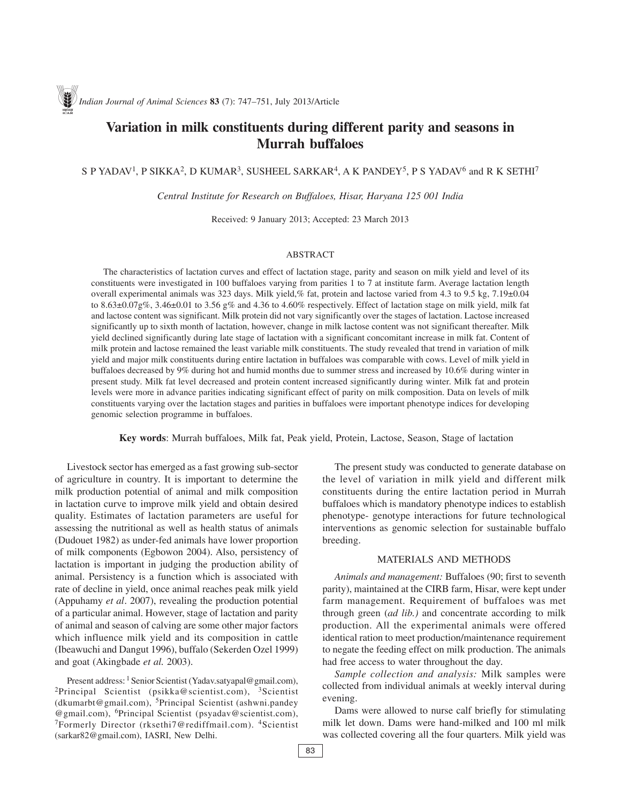# **Variation in milk constituents during different parity and seasons in Murrah buffaloes**

## S P YADAV<sup>1</sup>, P SIKKA<sup>2</sup>, D KUMAR<sup>3</sup>, SUSHEEL SARKAR<sup>4</sup>, A K PANDEY<sup>5</sup>, P S YADAV<sup>6</sup> and R K SETHI<sup>7</sup>

*Central Institute for Research on Buffaloes, Hisar, Haryana 125 001 India*

Received: 9 January 2013; Accepted: 23 March 2013

#### ABSTRACT

The characteristics of lactation curves and effect of lactation stage, parity and season on milk yield and level of its constituents were investigated in 100 buffaloes varying from parities 1 to 7 at institute farm. Average lactation length overall experimental animals was 323 days. Milk yield,% fat, protein and lactose varied from 4.3 to 9.5 kg, 7.19±0.04 to 8.63 $\pm$ 0.07g%, 3.46 $\pm$ 0.01 to 3.56 g% and 4.36 to 4.60% respectively. Effect of lactation stage on milk yield, milk fat and lactose content was significant. Milk protein did not vary significantly over the stages of lactation. Lactose increased significantly up to sixth month of lactation, however, change in milk lactose content was not significant thereafter. Milk yield declined significantly during late stage of lactation with a significant concomitant increase in milk fat. Content of milk protein and lactose remained the least variable milk constituents. The study revealed that trend in variation of milk yield and major milk constituents during entire lactation in buffaloes was comparable with cows. Level of milk yield in buffaloes decreased by 9% during hot and humid months due to summer stress and increased by 10.6% during winter in present study. Milk fat level decreased and protein content increased significantly during winter. Milk fat and protein levels were more in advance parities indicating significant effect of parity on milk composition. Data on levels of milk constituents varying over the lactation stages and parities in buffaloes were important phenotype indices for developing genomic selection programme in buffaloes.

**Key words**: Murrah buffaloes, Milk fat, Peak yield, Protein, Lactose, Season, Stage of lactation

Livestock sector has emerged as a fast growing sub-sector of agriculture in country. It is important to determine the milk production potential of animal and milk composition in lactation curve to improve milk yield and obtain desired quality. Estimates of lactation parameters are useful for assessing the nutritional as well as health status of animals (Dudouet 1982) as under-fed animals have lower proportion of milk components (Egbowon 2004). Also, persistency of lactation is important in judging the production ability of animal. Persistency is a function which is associated with rate of decline in yield, once animal reaches peak milk yield (Appuhamy *et al*. 2007), revealing the production potential of a particular animal. However, stage of lactation and parity of animal and season of calving are some other major factors which influence milk yield and its composition in cattle (Ibeawuchi and Dangut 1996), buffalo (Sekerden Ozel 1999) and goat (Akingbade *et al.* 2003).

Present address: <sup>1</sup> Senior Scientist (Yadav.satyapal@gmail.com), <sup>2</sup>Principal Scientist (psikka@scientist.com), <sup>3</sup>Scientist (dkumarbt@gmail.com), 5Principal Scientist (ashwni.pandey @gmail.com), 6Principal Scientist (psyadav@scientist.com), 7Formerly Director (rksethi7@rediffmail.com). 4Scientist (sarkar82@gmail.com), IASRI, New Delhi.

The present study was conducted to generate database on the level of variation in milk yield and different milk constituents during the entire lactation period in Murrah buffaloes which is mandatory phenotype indices to establish phenotype- genotype interactions for future technological interventions as genomic selection for sustainable buffalo breeding.

### MATERIALS AND METHODS

*Animals and management:* Buffaloes (90; first to seventh parity), maintained at the CIRB farm, Hisar, were kept under farm management. Requirement of buffaloes was met through green (*ad lib.)* and concentrate according to milk production. All the experimental animals were offered identical ration to meet production/maintenance requirement to negate the feeding effect on milk production. The animals had free access to water throughout the day.

*Sample collection and analysis:* Milk samples were collected from individual animals at weekly interval during evening.

Dams were allowed to nurse calf briefly for stimulating milk let down. Dams were hand-milked and 100 ml milk was collected covering all the four quarters. Milk yield was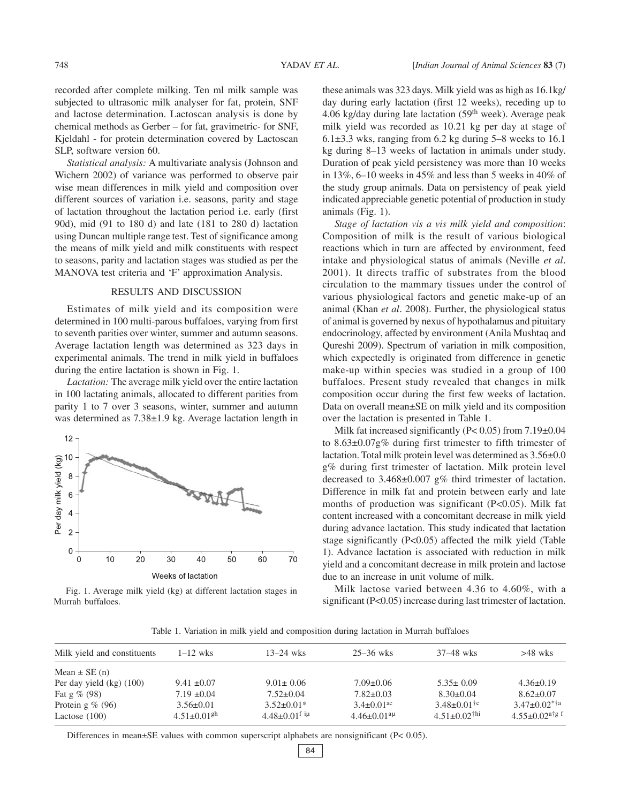recorded after complete milking. Ten ml milk sample was subjected to ultrasonic milk analyser for fat, protein, SNF and lactose determination. Lactoscan analysis is done by chemical methods as Gerber – for fat, gravimetric- for SNF, Kjeldahl - for protein determination covered by Lactoscan SLP, software version 60.

*Statistical analysis:* A multivariate analysis (Johnson and Wichern 2002) of variance was performed to observe pair wise mean differences in milk yield and composition over different sources of variation i.e. seasons, parity and stage of lactation throughout the lactation period i.e. early (first 90d), mid (91 to 180 d) and late (181 to 280 d) lactation using Duncan multiple range test. Test of significance among the means of milk yield and milk constituents with respect to seasons, parity and lactation stages was studied as per the MANOVA test criteria and 'F' approximation Analysis.

#### RESULTS AND DISCUSSION

Estimates of milk yield and its composition were determined in 100 multi-parous buffaloes, varying from first to seventh parities over winter, summer and autumn seasons. Average lactation length was determined as 323 days in experimental animals. The trend in milk yield in buffaloes during the entire lactation is shown in Fig. 1.

*Lactation:* The average milk yield over the entire lactation in 100 lactating animals, allocated to different parities from parity 1 to 7 over 3 seasons, winter, summer and autumn was determined as  $7.38\pm1.9$  kg. Average lactation length in





these animals was 323 days. Milk yield was as high as 16.1kg/ day during early lactation (first 12 weeks), receding up to 4.06 kg/day during late lactation  $(59<sup>th</sup> week)$ . Average peak milk yield was recorded as 10.21 kg per day at stage of 6.1 $\pm$ 3.3 wks, ranging from 6.2 kg during 5–8 weeks to 16.1 kg during 8–13 weeks of lactation in animals under study. Duration of peak yield persistency was more than 10 weeks in 13%, 6–10 weeks in 45% and less than 5 weeks in 40% of the study group animals. Data on persistency of peak yield indicated appreciable genetic potential of production in study animals (Fig. 1).

*Stage of lactation vis a vis milk yield and composition*: Composition of milk is the result of various biological reactions which in turn are affected by environment, feed intake and physiological status of animals (Neville *et al*. 2001). It directs traffic of substrates from the blood circulation to the mammary tissues under the control of various physiological factors and genetic make-up of an animal (Khan *et al*. 2008). Further, the physiological status of animal is governed by nexus of hypothalamus and pituitary endocrinology, affected by environment (Anila Mushtaq and Qureshi 2009). Spectrum of variation in milk composition, which expectedly is originated from difference in genetic make-up within species was studied in a group of 100 buffaloes. Present study revealed that changes in milk composition occur during the first few weeks of lactation. Data on overall mean±SE on milk yield and its composition over the lactation is presented in Table 1.

Milk fat increased significantly (P< 0.05) from 7.19±0.04 to 8.63±0.07g% during first trimester to fifth trimester of lactation. Total milk protein level was determined as 3.56±0.0 g% during first trimester of lactation. Milk protein level decreased to 3.468±0.007 g% third trimester of lactation. Difference in milk fat and protein between early and late months of production was significant (P<0.05). Milk fat content increased with a concomitant decrease in milk yield during advance lactation. This study indicated that lactation stage significantly (P<0.05) affected the milk yield (Table 1). Advance lactation is associated with reduction in milk yield and a concomitant decrease in milk protein and lactose due to an increase in unit volume of milk.

Milk lactose varied between 4.36 to 4.60%, with a significant (P<0.05) increase during last trimester of lactation.

Table 1. Variation in milk yield and composition during lactation in Murrah buffaloes

| Milk yield and constituents | $1-12$ wks                    | $13 - 24$ wks                 | $25 - 36$ wks                 | 37–48 wks                      | $>48$ wks                        |
|-----------------------------|-------------------------------|-------------------------------|-------------------------------|--------------------------------|----------------------------------|
| Mean $\pm$ SE (n)           |                               |                               |                               |                                |                                  |
| Per day yield $(kg)$ (100)  | $9.41 \pm 0.07$               | $9.01 \pm 0.06$               | $7.09 \pm 0.06$               | $5.35 \pm 0.09$                | $4.36\pm0.19$                    |
| Fat $g\%$ (98)              | $7.19 \pm 0.04$               | $7.52 \pm 0.04$               | $7.82 \pm 0.03$               | $8.30 \pm 0.04$                | $8.62 \pm 0.07$                  |
| Protein $g\%$ (96)          | $3.56 \pm 0.01$               | $3.52 \pm 0.01*$              | $3.4 \pm 0.01$ <sup>ac</sup>  | $3.48 \pm 0.01$ <sup>†c</sup>  | $3.47 \pm 0.02$ <sup>*†a</sup>   |
| Lactose $(100)$             | $4.51 \pm 0.01$ <sup>gh</sup> | $4.48 \pm 0.01^{\text{f}}$ iµ | $4.46 \pm 0.01$ <sup>aµ</sup> | $4.51 \pm 0.02$ <sup>†hi</sup> | $4.55 \pm 0.02$ <sup>a†g f</sup> |

Differences in mean±SE values with common superscript alphabets are nonsignificant (P< 0.05).

84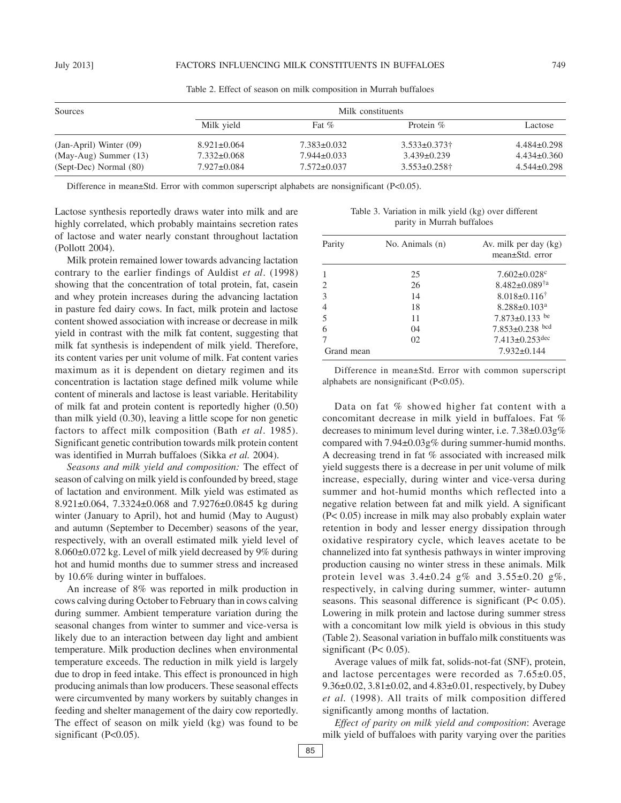| Sources                     | Milk constituents |                   |                                |                 |  |  |
|-----------------------------|-------------------|-------------------|--------------------------------|-----------------|--|--|
|                             | Milk yield        | Fat $\%$          | Protein $\%$                   | Lactose         |  |  |
| $(Jan-April)$ Winter $(09)$ | $8.921 \pm 0.064$ | $7.383\pm0.032$   | $3.533 \pm 0.373$ <sup>+</sup> | $4.484\pm0.298$ |  |  |
| (May-Aug) Summer (13)       | $7.332 \pm 0.068$ | $7.944 \pm 0.033$ | $3.439\pm0.239$                | $4.434\pm0.360$ |  |  |
| (Sept-Dec) Normal (80)      | $7.927 \pm 0.084$ | $7.572 \pm 0.037$ | $3.553 \pm 0.258$ †            | $4.544\pm0.298$ |  |  |

Table 2. Effect of season on milk composition in Murrah buffaloes

Difference in mean±Std. Error with common superscript alphabets are nonsignificant (P<0.05).

Lactose synthesis reportedly draws water into milk and are highly correlated, which probably maintains secretion rates of lactose and water nearly constant throughout lactation (Pollott 2004).

Milk protein remained lower towards advancing lactation contrary to the earlier findings of Auldist *et al*. (1998) showing that the concentration of total protein, fat, casein and whey protein increases during the advancing lactation in pasture fed dairy cows. In fact, milk protein and lactose content showed association with increase or decrease in milk yield in contrast with the milk fat content, suggesting that milk fat synthesis is independent of milk yield. Therefore, its content varies per unit volume of milk. Fat content varies maximum as it is dependent on dietary regimen and its concentration is lactation stage defined milk volume while content of minerals and lactose is least variable. Heritability of milk fat and protein content is reportedly higher (0.50) than milk yield (0.30), leaving a little scope for non genetic factors to affect milk composition (Bath *et al*. 1985). Significant genetic contribution towards milk protein content was identified in Murrah buffaloes (Sikka *et al.* 2004).

*Seasons and milk yield and composition:* The effect of season of calving on milk yield is confounded by breed, stage of lactation and environment. Milk yield was estimated as 8.921±0.064, 7.3324±0.068 and 7.9276±0.0845 kg during winter (January to April), hot and humid (May to August) and autumn (September to December) seasons of the year, respectively, with an overall estimated milk yield level of 8.060±0.072 kg. Level of milk yield decreased by 9% during hot and humid months due to summer stress and increased by 10.6% during winter in buffaloes.

An increase of 8% was reported in milk production in cows calving during October to February than in cows calving during summer. Ambient temperature variation during the seasonal changes from winter to summer and vice-versa is likely due to an interaction between day light and ambient temperature. Milk production declines when environmental temperature exceeds. The reduction in milk yield is largely due to drop in feed intake. This effect is pronounced in high producing animals than low producers. These seasonal effects were circumvented by many workers by suitably changes in feeding and shelter management of the dairy cow reportedly. The effect of season on milk yield (kg) was found to be significant (P<0.05).

Table 3. Variation in milk yield (kg) over different parity in Murrah buffaloes

| Parity     | No. Animals (n) | Av. milk per day (kg)<br>mean±Std. error |
|------------|-----------------|------------------------------------------|
|            | 25              | $7.602 \pm 0.028$ c                      |
| 2          | 26              | $8.482 \pm 0.089^{\dagger a}$            |
| 3          | 14              | $8.018 \pm 0.116^{\dagger}$              |
| 4          | 18              | $8.288 \pm 0.103$ <sup>a</sup>           |
| 5          | 11              | 7.873 $\pm$ 0.133 be                     |
| 6          | 04              | $7.853 \pm 0.238$ bcd                    |
|            | 02              | $7.413 \pm 0.253$ dec                    |
| Grand mean |                 | $7.932 \pm 0.144$                        |

Difference in mean±Std. Error with common superscript alphabets are nonsignificant (P<0.05).

Data on fat % showed higher fat content with a concomitant decrease in milk yield in buffaloes. Fat % decreases to minimum level during winter, i.e. 7.38±0.03g% compared with 7.94±0.03g% during summer-humid months. A decreasing trend in fat % associated with increased milk yield suggests there is a decrease in per unit volume of milk increase, especially, during winter and vice-versa during summer and hot-humid months which reflected into a negative relation between fat and milk yield. A significant (P< 0.05) increase in milk may also probably explain water retention in body and lesser energy dissipation through oxidative respiratory cycle, which leaves acetate to be channelized into fat synthesis pathways in winter improving production causing no winter stress in these animals. Milk protein level was  $3.4 \pm 0.24$  g% and  $3.55 \pm 0.20$  g%, respectively, in calving during summer, winter- autumn seasons. This seasonal difference is significant (P< 0.05). Lowering in milk protein and lactose during summer stress with a concomitant low milk yield is obvious in this study (Table 2). Seasonal variation in buffalo milk constituents was significant (P< 0.05).

Average values of milk fat, solids-not-fat (SNF), protein, and lactose percentages were recorded as 7.65±0.05, 9.36±0.02, 3.81±0.02, and 4.83±0.01, respectively, by Dubey *et al.* (1998). All traits of milk composition differed significantly among months of lactation.

*Effect of parity on milk yield and composition*: Average milk yield of buffaloes with parity varying over the parities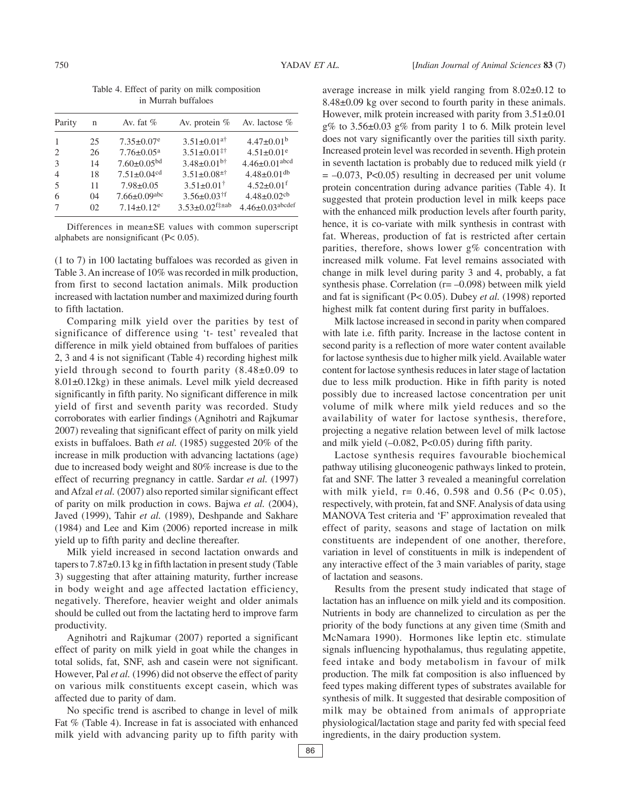|  |  |                     | Table 4. Effect of parity on milk composition |
|--|--|---------------------|-----------------------------------------------|
|  |  | in Murrah buffaloes |                                               |

| Parity         | n  | Av. fat $%$                   | Av. protein $%$               | Av. lactose $%$               |
|----------------|----|-------------------------------|-------------------------------|-------------------------------|
|                | 25 | $7.35 \pm 0.07$ <sup>e</sup>  | $3.51 \pm 0.01$ <sup>a†</sup> | $4.47 \pm 0.01^b$             |
| 2              | 26 | $7.76 \pm 0.05$ <sup>a</sup>  | $3.51 \pm 0.01$ <sup>‡†</sup> | $4.51 \pm 0.01$ <sup>e</sup>  |
| $\mathcal{F}$  | 14 | $7.60 \pm 0.05^{bd}$          | $3.48 \pm 0.01$ <sup>b†</sup> | $4.46 \pm 0.01$ abcd          |
| $\overline{4}$ | 18 | $7.51 \pm 0.04$ <sup>cd</sup> | $3.51 \pm 0.08^{\pm\dagger}$  | $4.48 \pm 0.01$ <sup>db</sup> |
| .5             | 11 | $7.98 \pm 0.05$               | $3.51 \pm 0.01^{\dagger}$     | $4.52 \pm 0.01$ <sup>f</sup>  |
| 6              | 04 | $7.66 \pm 0.09$ abc           | $3.56 \pm 0.03$ <sup>†f</sup> | $4.48 \pm 0.02$ cb            |
| 7              | 02 | $7.14 \pm 0.12$ <sup>e</sup>  | $3.53 \pm 0.02$ f‡±ab         | $4.46 \pm 0.03$ abcdef        |

Differences in mean±SE values with common superscript alphabets are nonsignificant (P< 0.05).

(1 to 7) in 100 lactating buffaloes was recorded as given in Table 3. An increase of 10% was recorded in milk production, from first to second lactation animals. Milk production increased with lactation number and maximized during fourth to fifth lactation.

Comparing milk yield over the parities by test of significance of difference using 't- test' revealed that difference in milk yield obtained from buffaloes of parities 2, 3 and 4 is not significant (Table 4) recording highest milk yield through second to fourth parity (8.48±0.09 to 8.01±0.12kg) in these animals. Level milk yield decreased significantly in fifth parity. No significant difference in milk yield of first and seventh parity was recorded. Study corroborates with earlier findings (Agnihotri and Rajkumar 2007) revealing that significant effect of parity on milk yield exists in buffaloes. Bath *et al.* (1985) suggested 20% of the increase in milk production with advancing lactations (age) due to increased body weight and 80% increase is due to the effect of recurring pregnancy in cattle. Sardar *et al.* (1997) and Afzal *et al.* (2007) also reported similar significant effect of parity on milk production in cows. Bajwa *et al.* (2004), Javed (1999), Tahir *et al.* (1989), Deshpande and Sakhare (1984) and Lee and Kim (2006) reported increase in milk yield up to fifth parity and decline thereafter.

Milk yield increased in second lactation onwards and tapers to 7.87±0.13 kg in fifth lactation in present study (Table 3) suggesting that after attaining maturity, further increase in body weight and age affected lactation efficiency, negatively. Therefore, heavier weight and older animals should be culled out from the lactating herd to improve farm productivity.

Agnihotri and Rajkumar (2007) reported a significant effect of parity on milk yield in goat while the changes in total solids, fat, SNF, ash and casein were not significant. However, Pal *et al.* (1996) did not observe the effect of parity on various milk constituents except casein, which was affected due to parity of dam.

No specific trend is ascribed to change in level of milk Fat % (Table 4). Increase in fat is associated with enhanced milk yield with advancing parity up to fifth parity with average increase in milk yield ranging from 8.02±0.12 to 8.48±0.09 kg over second to fourth parity in these animals. However, milk protein increased with parity from  $3.51\pm0.01$ g% to 3.56±0.03 g% from parity 1 to 6. Milk protein level does not vary significantly over the parities till sixth parity. Increased protein level was recorded in seventh. High protein in seventh lactation is probably due to reduced milk yield (r  $= -0.073$ , P<0.05) resulting in decreased per unit volume protein concentration during advance parities (Table 4). It suggested that protein production level in milk keeps pace with the enhanced milk production levels after fourth parity, hence, it is co-variate with milk synthesis in contrast with fat. Whereas, production of fat is restricted after certain parities, therefore, shows lower g% concentration with increased milk volume. Fat level remains associated with change in milk level during parity 3 and 4, probably, a fat synthesis phase. Correlation  $(r=-0.098)$  between milk yield and fat is significant (P< 0.05). Dubey *et al.* (1998) reported highest milk fat content during first parity in buffaloes.

Milk lactose increased in second in parity when compared with late i.e. fifth parity. Increase in the lactose content in second parity is a reflection of more water content available for lactose synthesis due to higher milk yield. Available water content for lactose synthesis reduces in later stage of lactation due to less milk production. Hike in fifth parity is noted possibly due to increased lactose concentration per unit volume of milk where milk yield reduces and so the availability of water for lactose synthesis, therefore, projecting a negative relation between level of milk lactose and milk yield (–0.082, P<0.05) during fifth parity.

Lactose synthesis requires favourable biochemical pathway utilising gluconeogenic pathways linked to protein, fat and SNF. The latter 3 revealed a meaningful correlation with milk yield,  $r = 0.46, 0.598$  and 0.56 (P< 0.05), respectively, with protein, fat and SNF. Analysis of data using MANOVA Test criteria and 'F' approximation revealed that effect of parity, seasons and stage of lactation on milk constituents are independent of one another, therefore, variation in level of constituents in milk is independent of any interactive effect of the 3 main variables of parity, stage of lactation and seasons.

Results from the present study indicated that stage of lactation has an influence on milk yield and its composition. Nutrients in body are channelized to circulation as per the priority of the body functions at any given time (Smith and McNamara 1990). Hormones like leptin etc. stimulate signals influencing hypothalamus, thus regulating appetite, feed intake and body metabolism in favour of milk production. The milk fat composition is also influenced by feed types making different types of substrates available for synthesis of milk. It suggested that desirable composition of milk may be obtained from animals of appropriate physiological/lactation stage and parity fed with special feed ingredients, in the dairy production system.